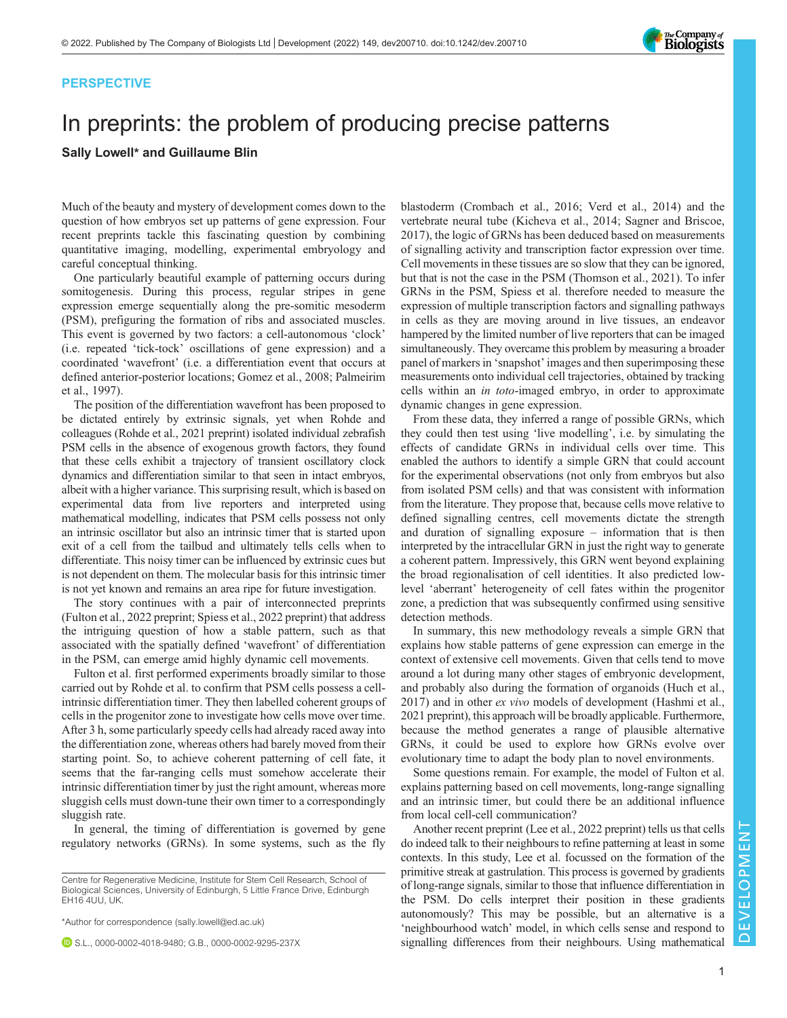## PERSPECTIVE

# In preprints: the problem of producing precise patterns

## Sally Lowell\* and Guillaume Blin

Much of the beauty and mystery of development comes down to the question of how embryos set up patterns of gene expression. Four recent preprints tackle this fascinating question by combining quantitative imaging, modelling, experimental embryology and careful conceptual thinking.

One particularly beautiful example of patterning occurs during somitogenesis. During this process, regular stripes in gene expression emerge sequentially along the pre-somitic mesoderm (PSM), prefiguring the formation of ribs and associated muscles. This event is governed by two factors: a cell-autonomous 'clock' (i.e. repeated 'tick-tock' oscillations of gene expression) and a coordinated 'wavefront' (i.e. a differentiation event that occurs at defined anterior-posterior locations; [Gomez et al., 2008](#page-1-0); [Palmeirim](#page-1-0) [et al., 1997\)](#page-1-0).

The position of the differentiation wavefront has been proposed to be dictated entirely by extrinsic signals, yet when Rohde and colleagues [\(Rohde et al., 2021](#page-1-0) preprint) isolated individual zebrafish PSM cells in the absence of exogenous growth factors, they found that these cells exhibit a trajectory of transient oscillatory clock dynamics and differentiation similar to that seen in intact embryos, albeit with a higher variance. This surprising result, which is based on experimental data from live reporters and interpreted using mathematical modelling, indicates that PSM cells possess not only an intrinsic oscillator but also an intrinsic timer that is started upon exit of a cell from the tailbud and ultimately tells cells when to differentiate. This noisy timer can be influenced by extrinsic cues but is not dependent on them. The molecular basis for this intrinsic timer is not yet known and remains an area ripe for future investigation.

The story continues with a pair of interconnected preprints [\(Fulton et al., 2022](#page-1-0) preprint; [Spiess et al., 2022](#page-1-0) preprint) that address the intriguing question of how a stable pattern, such as that associated with the spatially defined 'wavefront' of differentiation in the PSM, can emerge amid highly dynamic cell movements.

Fulton et al. first performed experiments broadly similar to those carried out by Rohde et al. to confirm that PSM cells possess a cellintrinsic differentiation timer. They then labelled coherent groups of cells in the progenitor zone to investigate how cells move over time. After 3 h, some particularly speedy cells had already raced away into the differentiation zone, whereas others had barely moved from their starting point. So, to achieve coherent patterning of cell fate, it seems that the far-ranging cells must somehow accelerate their intrinsic differentiation timer by just the right amount, whereas more sluggish cells must down-tune their own timer to a correspondingly sluggish rate.

In general, the timing of differentiation is governed by gene regulatory networks (GRNs). In some systems, such as the fly

\*Author for correspondence [\(sally.lowell@ed.ac.uk\)](mailto:sally.lowell@ed.ac.uk)

S.L., [0000-0002-4018-9480;](http://orcid.org/0000-0002-4018-9480) G.B., [0000-0002-9295-237X](http://orcid.org/0000-0002-9295-237X)

blastoderm [\(Crombach et al., 2016; Verd et al., 2014\)](#page-1-0) and the vertebrate neural tube ([Kicheva et al., 2014](#page-1-0); [Sagner and Briscoe,](#page-1-0) [2017\)](#page-1-0), the logic of GRNs has been deduced based on measurements of signalling activity and transcription factor expression over time. Cell movements in these tissues are so slow that they can be ignored, but that is not the case in the PSM ([Thomson et al., 2021\)](#page-1-0). To infer GRNs in the PSM, Spiess et al. therefore needed to measure the expression of multiple transcription factors and signalling pathways in cells as they are moving around in live tissues, an endeavor hampered by the limited number of live reporters that can be imaged simultaneously. They overcame this problem by measuring a broader panel of markers in 'snapshot' images and then superimposing these measurements onto individual cell trajectories, obtained by tracking cells within an in toto-imaged embryo, in order to approximate dynamic changes in gene expression.

From these data, they inferred a range of possible GRNs, which they could then test using 'live modelling', i.e. by simulating the effects of candidate GRNs in individual cells over time. This enabled the authors to identify a simple GRN that could account for the experimental observations (not only from embryos but also from isolated PSM cells) and that was consistent with information from the literature. They propose that, because cells move relative to defined signalling centres, cell movements dictate the strength and duration of signalling exposure – information that is then interpreted by the intracellular GRN in just the right way to generate a coherent pattern. Impressively, this GRN went beyond explaining the broad regionalisation of cell identities. It also predicted lowlevel 'aberrant' heterogeneity of cell fates within the progenitor zone, a prediction that was subsequently confirmed using sensitive detection methods.

In summary, this new methodology reveals a simple GRN that explains how stable patterns of gene expression can emerge in the context of extensive cell movements. Given that cells tend to move around a lot during many other stages of embryonic development, and probably also during the formation of organoids [\(Huch et al.,](#page-1-0) [2017\)](#page-1-0) and in other ex vivo models of development ([Hashmi et al.,](#page-1-0) [2021](#page-1-0) preprint), this approach will be broadly applicable. Furthermore, because the method generates a range of plausible alternative GRNs, it could be used to explore how GRNs evolve over evolutionary time to adapt the body plan to novel environments.

Some questions remain. For example, the model of Fulton et al. explains patterning based on cell movements, long-range signalling and an intrinsic timer, but could there be an additional influence from local cell-cell communication?

Another recent preprint [\(Lee et al., 2022](#page-1-0) preprint) tells us that cells do indeed talk to their neighbours to refine patterning at least in some contexts. In this study, Lee et al. focussed on the formation of the primitive streak at gastrulation. This process is governed by gradients of long-range signals, similar to those that influence differentiation in the PSM. Do cells interpret their position in these gradients autonomously? This may be possible, but an alternative is a 'neighbourhood watch' model, in which cells sense and respond to signalling differences from their neighbours. Using mathematical

 $\mathbb{Z}$ 



Centre for Regenerative Medicine, Institute for Stem Cell Research, School of Biological Sciences, University of Edinburgh, 5 Little France Drive, Edinburgh EH16 4UU, UK.